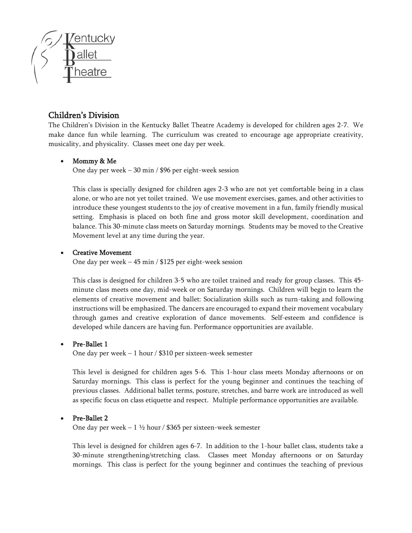

# Children's Division

The Children's Division in the Kentucky Ballet Theatre Academy is developed for children ages 2-7. We make dance fun while learning. The curriculum was created to encourage age appropriate creativity, musicality, and physicality. Classes meet one day per week.

# • Mommy & Me

One day per week – 30 min / \$96 per eight-week session

This class is specially designed for children ages 2-3 who are not yet comfortable being in a class alone, or who are not yet toilet trained. We use movement exercises, games, and other activities to introduce these youngest students to the joy of creative movement in a fun, family friendly musical setting. Emphasis is placed on both fine and gross motor skill development, coordination and balance. This 30-minute class meets on Saturday mornings. Students may be moved to the Creative Movement level at any time during the year.

# • Creative Movement

One day per week – 45 min / \$125 per eight-week session

This class is designed for children 3-5 who are toilet trained and ready for group classes. This 45 minute class meets one day, mid-week or on Saturday mornings. Children will begin to learn the elements of creative movement and ballet: Socialization skills such as turn-taking and following instructions will be emphasized. The dancers are encouraged to expand their movement vocabulary through games and creative exploration of dance movements. Self-esteem and confidence is developed while dancers are having fun. Performance opportunities are available.

# • Pre-Ballet 1

One day per week – 1 hour / \$310 per sixteen-week semester

This level is designed for children ages 5-6. This 1-hour class meets Monday afternoons or on Saturday mornings. This class is perfect for the young beginner and continues the teaching of previous classes. Additional ballet terms, posture, stretches, and barre work are introduced as well as specific focus on class etiquette and respect. Multiple performance opportunities are available.

# • Pre-Ballet 2

One day per week –  $1\frac{1}{2}$  hour / \$365 per sixteen-week semester

This level is designed for children ages 6-7. In addition to the 1-hour ballet class, students take a 30-minute strengthening/stretching class. Classes meet Monday afternoons or on Saturday mornings. This class is perfect for the young beginner and continues the teaching of previous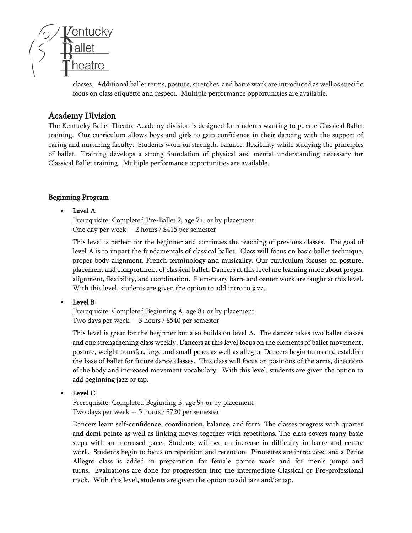

classes. Additional ballet terms, posture, stretches, and barre work are introduced as well as specific focus on class etiquette and respect. Multiple performance opportunities are available.

# Academy Division

The Kentucky Ballet Theatre Academy division is designed for students wanting to pursue Classical Ballet training. Our curriculum allows boys and girls to gain confidence in their dancing with the support of caring and nurturing faculty. Students work on strength, balance, flexibility while studying the principles of ballet. Training develops a strong foundation of physical and mental understanding necessary for Classical Ballet training. Multiple performance opportunities are available.

### Beginning Program

# Level A

Prerequisite: Completed Pre-Ballet 2, age 7+, or by placement One day per week -- 2 hours / \$415 per semester

This level is perfect for the beginner and continues the teaching of previous classes. The goal of level A is to impart the fundamentals of classical ballet. Class will focus on basic ballet technique, proper body alignment, French terminology and musicality. Our curriculum focuses on posture, placement and comportment of classical ballet. Dancers at this level are learning more about proper alignment, flexibility, and coordination. Elementary barre and center work are taught at this level. With this level, students are given the option to add intro to jazz.

# • Level B

Prerequisite: Completed Beginning A, age 8+ or by placement Two days per week -- 3 hours / \$540 per semester

This level is great for the beginner but also builds on level A. The dancer takes two ballet classes and one strengthening class weekly. Dancers at this level focus on the elements of ballet movement, posture, weight transfer, large and small poses as well as allegro. Dancers begin turns and establish the base of ballet for future dance classes. This class will focus on positions of the arms, directions of the body and increased movement vocabulary. With this level, students are given the option to add beginning jazz or tap.

# • Level C

Prerequisite: Completed Beginning B, age 9+ or by placement Two days per week -- 5 hours / \$720 per semester

Dancers learn self-confidence, coordination, balance, and form. The classes progress with quarter and demi-pointe as well as linking moves together with repetitions. The class covers many basic steps with an increased pace. Students will see an increase in difficulty in barre and centre work. Students begin to focus on repetition and retention. Pirouettes are introduced and a Petite Allegro class is added in preparation for female pointe work and for men's jumps and turns. Evaluations are done for progression into the intermediate Classical or Pre-professional track. With this level, students are given the option to add jazz and/or tap.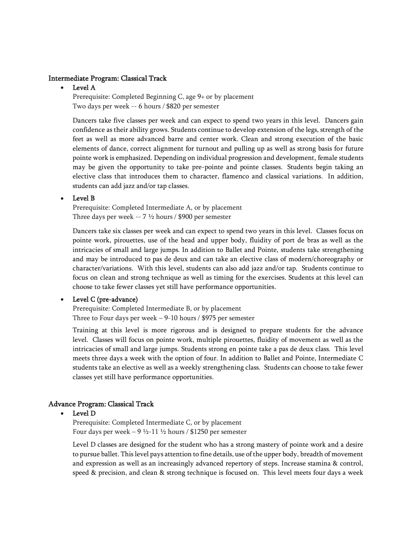#### Intermediate Program: Classical Track

#### • Level A

Prerequisite: Completed Beginning C, age 9+ or by placement Two days per week -- 6 hours / \$820 per semester

Dancers take five classes per week and can expect to spend two years in this level. Dancers gain confidence as their ability grows. Students continue to develop extension of the legs, strength of the feet as well as more advanced barre and center work. Clean and strong execution of the basic elements of dance, correct alignment for turnout and pulling up as well as strong basis for future pointe work is emphasized. Depending on individual progression and development, female students may be given the opportunity to take pre-pointe and pointe classes. Students begin taking an elective class that introduces them to character, flamenco and classical variations. In addition, students can add jazz and/or tap classes.

#### • Level B

Prerequisite: Completed Intermediate A, or by placement Three days per week --  $7\frac{1}{2}$  hours / \$900 per semester

Dancers take six classes per week and can expect to spend two years in this level. Classes focus on pointe work, pirouettes, use of the head and upper body, fluidity of port de bras as well as the intricacies of small and large jumps. In addition to Ballet and Pointe, students take strengthening and may be introduced to pas de deux and can take an elective class of modern/choreography or character/variations. With this level, students can also add jazz and/or tap. Students continue to focus on clean and strong technique as well as timing for the exercises. Students at this level can choose to take fewer classes yet still have performance opportunities.

### • Level C (pre-advance)

Prerequisite: Completed Intermediate B, or by placement Three to Four days per week – 9-10 hours / \$975 per semester

Training at this level is more rigorous and is designed to prepare students for the advance level. Classes will focus on pointe work, multiple pirouettes, fluidity of movement as well as the intricacies of small and large jumps. Students strong en pointe take a pas de deux class. This level meets three days a week with the option of four. In addition to Ballet and Pointe, Intermediate C students take an elective as well as a weekly strengthening class. Students can choose to take fewer classes yet still have performance opportunities.

### Advance Program: Classical Track

#### • Level D

Prerequisite: Completed Intermediate C, or by placement Four days per week – 9 ½-11 ½ hours / \$1250 per semester

Level D classes are designed for the student who has a strong mastery of pointe work and a desire to pursue ballet. This level pays attention to fine details, use of the upper body, breadth of movement and expression as well as an increasingly advanced repertory of steps. Increase stamina & control, speed & precision, and clean & strong technique is focused on. This level meets four days a week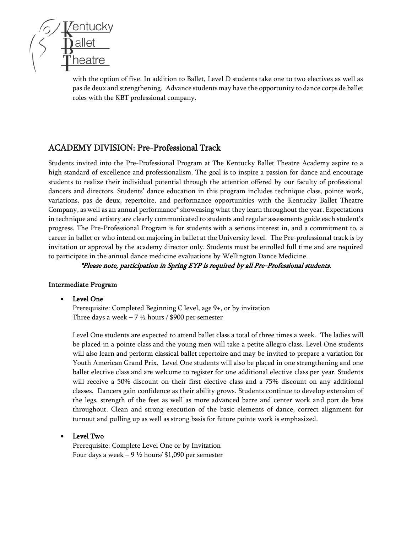

with the option of five. In addition to Ballet, Level D students take one to two electives as well as pas de deux and strengthening. Advance students may have the opportunity to dance corps de ballet roles with the KBT professional company.

# ACADEMY DIVISION: Pre-Professional Track

Students invited into the Pre-Professional Program at The Kentucky Ballet Theatre Academy aspire to a high standard of excellence and professionalism. The goal is to inspire a passion for dance and encourage students to realize their individual potential through the attention offered by our faculty of professional dancers and directors. Students' dance education in this program includes technique class, pointe work, variations, pas de deux, repertoire, and performance opportunities with the Kentucky Ballet Theatre Company, as well as an annual performance\* showcasing what they learn throughout the year. Expectations in technique and artistry are clearly communicated to students and regular assessments guide each student's progress. The Pre-Professional Program is for students with a serious interest in, and a commitment to, a career in ballet or who intend on majoring in ballet at the University level. The Pre-professional track is by invitation or approval by the academy director only. Students must be enrolled full time and are required to participate in the annual dance medicine evaluations by Wellington Dance Medicine.

\*Please note, participation in Spring EYP is required by all Pre-Professional students.

### Intermediate Program

• Level One

Prerequisite: Completed Beginning C level, age 9+, or by invitation Three days a week  $-7\frac{1}{2}$  hours / \$900 per semester

Level One students are expected to attend ballet class a total of three times a week. The ladies will be placed in a pointe class and the young men will take a petite allegro class. Level One students will also learn and perform classical ballet repertoire and may be invited to prepare a variation for Youth American Grand Prix. Level One students will also be placed in one strengthening and one ballet elective class and are welcome to register for one additional elective class per year. Students will receive a 50% discount on their first elective class and a 75% discount on any additional classes. Dancers gain confidence as their ability grows. Students continue to develop extension of the legs, strength of the feet as well as more advanced barre and center work and port de bras throughout. Clean and strong execution of the basic elements of dance, correct alignment for turnout and pulling up as well as strong basis for future pointe work is emphasized.

### • Level Two

Prerequisite: Complete Level One or by Invitation Four days a week – 9  $\frac{1}{2}$  hours/ \$1,090 per semester